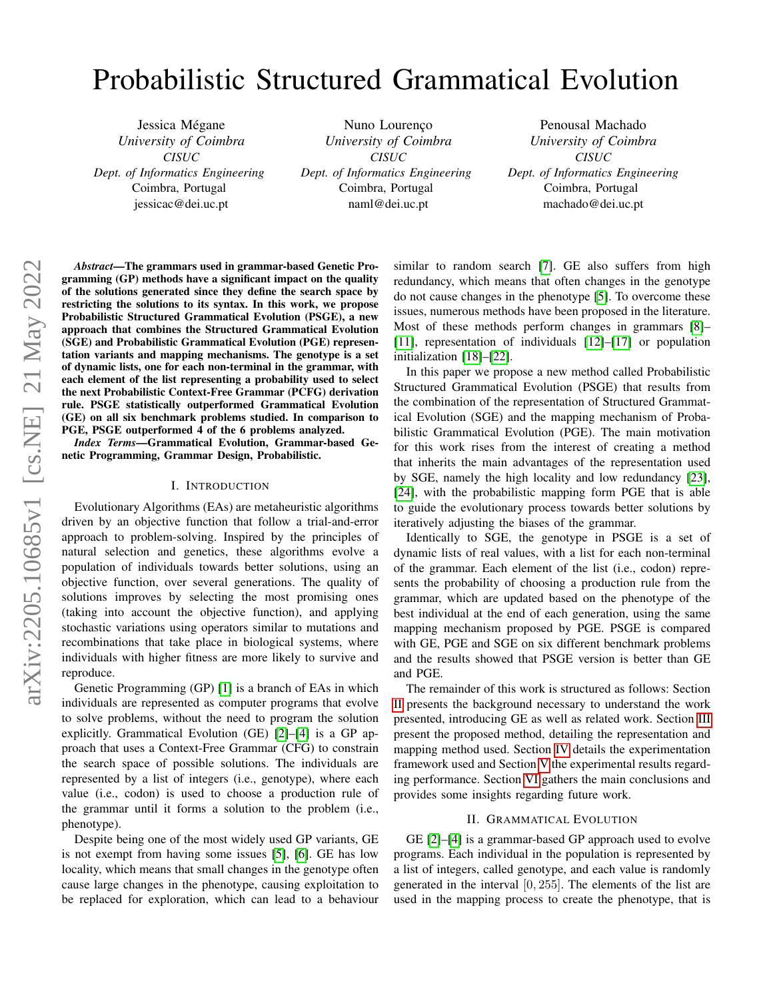# Probabilistic Structured Grammatical Evolution

Jessica Mégane *University of Coimbra CISUC Dept. of Informatics Engineering* Coimbra, Portugal jessicac@dei.uc.pt

Nuno Lourenço *University of Coimbra CISUC Dept. of Informatics Engineering* Coimbra, Portugal naml@dei.uc.pt

Penousal Machado *University of Coimbra CISUC Dept. of Informatics Engineering* Coimbra, Portugal machado@dei.uc.pt

*Abstract*—The grammars used in grammar-based Genetic Programming (GP) methods have a significant impact on the quality of the solutions generated since they define the search space by restricting the solutions to its syntax. In this work, we propose Probabilistic Structured Grammatical Evolution (PSGE), a new approach that combines the Structured Grammatical Evolution (SGE) and Probabilistic Grammatical Evolution (PGE) representation variants and mapping mechanisms. The genotype is a set of dynamic lists, one for each non-terminal in the grammar, with each element of the list representing a probability used to select the next Probabilistic Context-Free Grammar (PCFG) derivation rule. PSGE statistically outperformed Grammatical Evolution (GE) on all six benchmark problems studied. In comparison to PGE, PSGE outperformed 4 of the 6 problems analyzed.

*Index Terms*—Grammatical Evolution, Grammar-based Genetic Programming, Grammar Design, Probabilistic.

#### I. INTRODUCTION

Evolutionary Algorithms (EAs) are metaheuristic algorithms driven by an objective function that follow a trial-and-error approach to problem-solving. Inspired by the principles of natural selection and genetics, these algorithms evolve a population of individuals towards better solutions, using an objective function, over several generations. The quality of solutions improves by selecting the most promising ones (taking into account the objective function), and applying stochastic variations using operators similar to mutations and recombinations that take place in biological systems, where individuals with higher fitness are more likely to survive and reproduce.

Genetic Programming (GP) [\[1\]](#page-7-0) is a branch of EAs in which individuals are represented as computer programs that evolve to solve problems, without the need to program the solution explicitly. Grammatical Evolution (GE) [\[2\]](#page-7-1)–[\[4\]](#page-7-2) is a GP approach that uses a Context-Free Grammar (CFG) to constrain the search space of possible solutions. The individuals are represented by a list of integers (i.e., genotype), where each value (i.e., codon) is used to choose a production rule of the grammar until it forms a solution to the problem (i.e., phenotype).

Despite being one of the most widely used GP variants, GE is not exempt from having some issues [\[5\]](#page-7-3), [\[6\]](#page-7-4). GE has low locality, which means that small changes in the genotype often cause large changes in the phenotype, causing exploitation to be replaced for exploration, which can lead to a behaviour similar to random search [\[7\]](#page-7-5). GE also suffers from high redundancy, which means that often changes in the genotype do not cause changes in the phenotype [\[5\]](#page-7-3). To overcome these issues, numerous methods have been proposed in the literature. Most of these methods perform changes in grammars [\[8\]](#page-7-6)– [\[11\]](#page-7-7), representation of individuals [\[12\]](#page-7-8)–[\[17\]](#page-7-9) or population initialization [\[18\]](#page-7-10)–[\[22\]](#page-8-0).

In this paper we propose a new method called Probabilistic Structured Grammatical Evolution (PSGE) that results from the combination of the representation of Structured Grammatical Evolution (SGE) and the mapping mechanism of Probabilistic Grammatical Evolution (PGE). The main motivation for this work rises from the interest of creating a method that inherits the main advantages of the representation used by SGE, namely the high locality and low redundancy [\[23\]](#page-8-1), [\[24\]](#page-8-2), with the probabilistic mapping form PGE that is able to guide the evolutionary process towards better solutions by iteratively adjusting the biases of the grammar.

Identically to SGE, the genotype in PSGE is a set of dynamic lists of real values, with a list for each non-terminal of the grammar. Each element of the list (i.e., codon) represents the probability of choosing a production rule from the grammar, which are updated based on the phenotype of the best individual at the end of each generation, using the same mapping mechanism proposed by PGE. PSGE is compared with GE, PGE and SGE on six different benchmark problems and the results showed that PSGE version is better than GE and PGE.

The remainder of this work is structured as follows: Section [II](#page-0-0) presents the background necessary to understand the work presented, introducing GE as well as related work. Section [III](#page-2-0) present the proposed method, detailing the representation and mapping method used. Section [IV](#page-4-0) details the experimentation framework used and Section [V](#page-5-0) the experimental results regarding performance. Section [VI](#page-7-11) gathers the main conclusions and provides some insights regarding future work.

# II. GRAMMATICAL EVOLUTION

<span id="page-0-0"></span>GE [\[2\]](#page-7-1)–[\[4\]](#page-7-2) is a grammar-based GP approach used to evolve programs. Each individual in the population is represented by a list of integers, called genotype, and each value is randomly generated in the interval [0, 255]. The elements of the list are used in the mapping process to create the phenotype, that is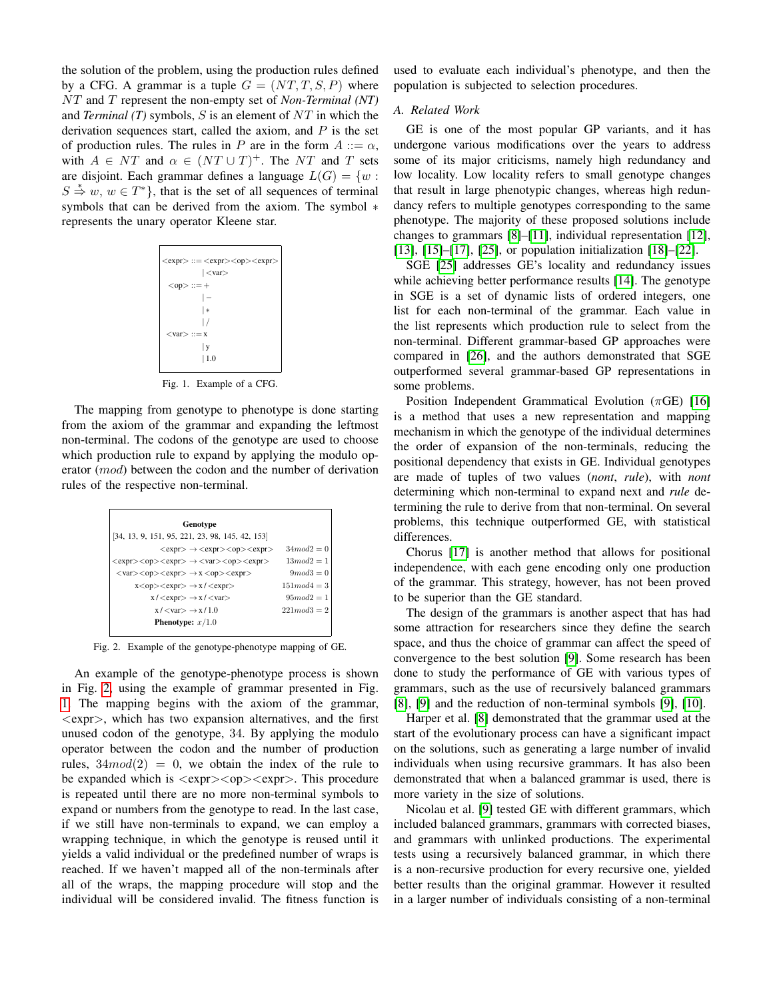the solution of the problem, using the production rules defined by a CFG. A grammar is a tuple  $G = (NT, T, S, P)$  where NT and T represent the non-empty set of *Non-Terminal (NT)* and *Terminal (T)* symbols, S is an element of NT in which the derivation sequences start, called the axiom, and  $P$  is the set of production rules. The rules in P are in the form  $A ::= \alpha$ , with  $A \in NT$  and  $\alpha \in (NT \cup T)^{+}$ . The NT and T sets are disjoint. Each grammar defines a language  $L(G) = \{w :$  $S \stackrel{*}{\Rightarrow} w, w \in T^*$ , that is the set of all sequences of terminal symbols that can be derived from the axiom. The symbol  $*$ represents the unary operator Kleene star.

| $<$ expr> ::= $<$ expr> $<$ op> $<$ expr> |
|-------------------------------------------|
| $ <$ var $>$                              |
| $<$ op> ::=+                              |
|                                           |
| ∣∗                                        |
|                                           |
| $< var > ::= x$                           |
| y                                         |
| $\vert$ 1.0                               |
|                                           |

<span id="page-1-1"></span>Fig. 1. Example of a CFG.

The mapping from genotype to phenotype is done starting from the axiom of the grammar and expanding the leftmost non-terminal. The codons of the genotype are used to choose which production rule to expand by applying the modulo operator (mod) between the codon and the number of derivation rules of the respective non-terminal.

| Genotype                                                                                                          |                  |
|-------------------------------------------------------------------------------------------------------------------|------------------|
| $[34, 13, 9, 151, 95, 221, 23, 98, 145, 42, 153]$                                                                 |                  |
| $<$ expr> $\rightarrow$ $<$ expr> $<$ op> $<$ expr>                                                               | $34mod2 = 0$     |
| $<$ expr> $<$ op> $<$ expr> $\rightarrow$ $<$ var> $<$ op> $<$ expr>                                              | $13mod2=1$       |
| $\langle var \rangle \langle op \rangle \langle exp \rangle \rightarrow x \langle op \rangle \langle exp \rangle$ | $9mod3=0$        |
| $x <$ op> $\lt$ expr $>$ $\to$ $x$ / $\lt$ expr $>$                                                               | $151 \mod 4 = 3$ |
| $x / \langle \text{expr} \rangle \rightarrow x / \langle \text{var} \rangle$                                      | $95 \mod 2 = 1$  |
| $x$ / $\langle \text{var} \rangle \rightarrow x$ / 1.0                                                            | $221 \mod 3 = 2$ |
| <b>Phenotype:</b> $x/1.0$                                                                                         |                  |
|                                                                                                                   |                  |

<span id="page-1-0"></span>Fig. 2. Example of the genotype-phenotype mapping of GE.

An example of the genotype-phenotype process is shown in Fig. [2,](#page-1-0) using the example of grammar presented in Fig. [1.](#page-1-1) The mapping begins with the axiom of the grammar,  $\langle \text{expr}\rangle$ , which has two expansion alternatives, and the first unused codon of the genotype, 34. By applying the modulo operator between the codon and the number of production rules,  $34 \mod 2 = 0$ , we obtain the index of the rule to be expanded which is  $\langle \text{expr}\rangle \langle \text{opp}\rangle$ . This procedure is repeated until there are no more non-terminal symbols to expand or numbers from the genotype to read. In the last case, if we still have non-terminals to expand, we can employ a wrapping technique, in which the genotype is reused until it yields a valid individual or the predefined number of wraps is reached. If we haven't mapped all of the non-terminals after all of the wraps, the mapping procedure will stop and the individual will be considered invalid. The fitness function is

used to evaluate each individual's phenotype, and then the population is subjected to selection procedures.

#### *A. Related Work*

GE is one of the most popular GP variants, and it has undergone various modifications over the years to address some of its major criticisms, namely high redundancy and low locality. Low locality refers to small genotype changes that result in large phenotypic changes, whereas high redundancy refers to multiple genotypes corresponding to the same phenotype. The majority of these proposed solutions include changes to grammars [\[8\]](#page-7-6)–[\[11\]](#page-7-7), individual representation [\[12\]](#page-7-8), [\[13\]](#page-7-12), [\[15\]](#page-7-13)–[\[17\]](#page-7-9), [\[25\]](#page-8-3), or population initialization [\[18\]](#page-7-10)–[\[22\]](#page-8-0).

SGE [\[25\]](#page-8-3) addresses GE's locality and redundancy issues while achieving better performance results [\[14\]](#page-7-14). The genotype in SGE is a set of dynamic lists of ordered integers, one list for each non-terminal of the grammar. Each value in the list represents which production rule to select from the non-terminal. Different grammar-based GP approaches were compared in [\[26\]](#page-8-4), and the authors demonstrated that SGE outperformed several grammar-based GP representations in some problems.

Position Independent Grammatical Evolution ( $\pi$ GE) [\[16\]](#page-7-15) is a method that uses a new representation and mapping mechanism in which the genotype of the individual determines the order of expansion of the non-terminals, reducing the positional dependency that exists in GE. Individual genotypes are made of tuples of two values (*nont*, *rule*), with *nont* determining which non-terminal to expand next and *rule* determining the rule to derive from that non-terminal. On several problems, this technique outperformed GE, with statistical differences.

Chorus [\[17\]](#page-7-9) is another method that allows for positional independence, with each gene encoding only one production of the grammar. This strategy, however, has not been proved to be superior than the GE standard.

The design of the grammars is another aspect that has had some attraction for researchers since they define the search space, and thus the choice of grammar can affect the speed of convergence to the best solution [\[9\]](#page-7-16). Some research has been done to study the performance of GE with various types of grammars, such as the use of recursively balanced grammars [\[8\]](#page-7-6), [\[9\]](#page-7-16) and the reduction of non-terminal symbols [\[9\]](#page-7-16), [\[10\]](#page-7-17).

Harper et al. [\[8\]](#page-7-6) demonstrated that the grammar used at the start of the evolutionary process can have a significant impact on the solutions, such as generating a large number of invalid individuals when using recursive grammars. It has also been demonstrated that when a balanced grammar is used, there is more variety in the size of solutions.

Nicolau et al. [\[9\]](#page-7-16) tested GE with different grammars, which included balanced grammars, grammars with corrected biases, and grammars with unlinked productions. The experimental tests using a recursively balanced grammar, in which there is a non-recursive production for every recursive one, yielded better results than the original grammar. However it resulted in a larger number of individuals consisting of a non-terminal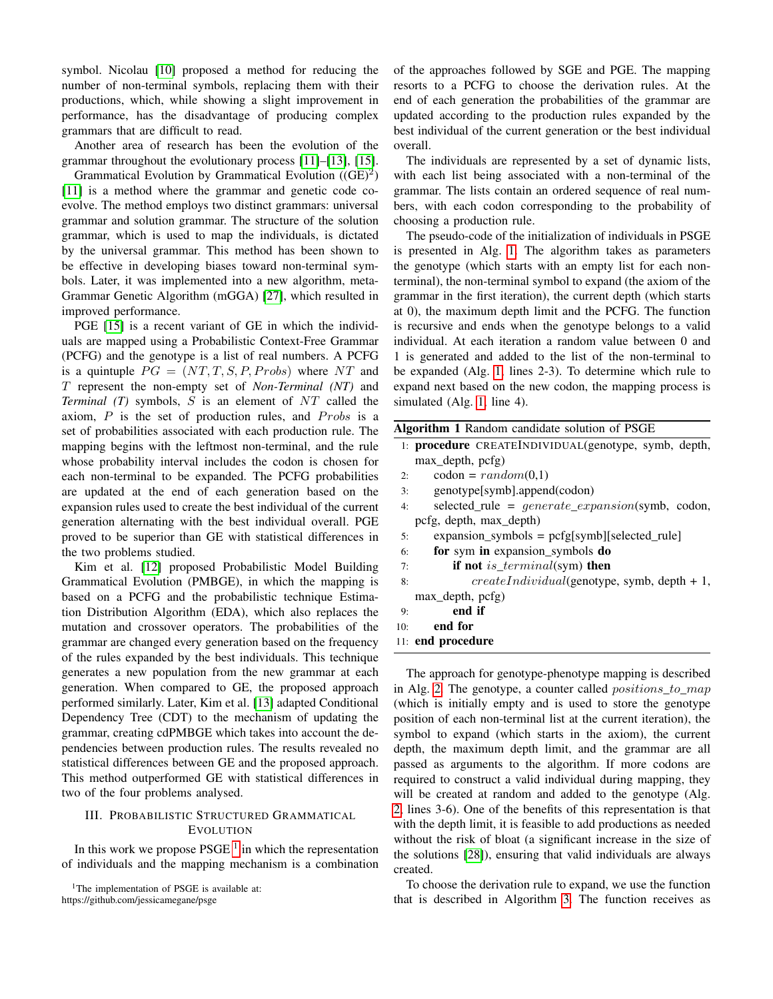symbol. Nicolau [\[10\]](#page-7-17) proposed a method for reducing the number of non-terminal symbols, replacing them with their productions, which, while showing a slight improvement in performance, has the disadvantage of producing complex grammars that are difficult to read.

Another area of research has been the evolution of the grammar throughout the evolutionary process [\[11\]](#page-7-7)–[\[13\]](#page-7-12), [\[15\]](#page-7-13).

Grammatical Evolution by Grammatical Evolution  $((GE)^2)$ [\[11\]](#page-7-7) is a method where the grammar and genetic code coevolve. The method employs two distinct grammars: universal grammar and solution grammar. The structure of the solution grammar, which is used to map the individuals, is dictated by the universal grammar. This method has been shown to be effective in developing biases toward non-terminal symbols. Later, it was implemented into a new algorithm, meta-Grammar Genetic Algorithm (mGGA) [\[27\]](#page-8-5), which resulted in improved performance.

PGE [\[15\]](#page-7-13) is a recent variant of GE in which the individuals are mapped using a Probabilistic Context-Free Grammar (PCFG) and the genotype is a list of real numbers. A PCFG is a quintuple  $PG = (NT, T, S, P, Probs)$  where NT and T represent the non-empty set of *Non-Terminal (NT)* and *Terminal (T)* symbols, S is an element of NT called the axiom,  $P$  is the set of production rules, and  $Probs$  is a set of probabilities associated with each production rule. The mapping begins with the leftmost non-terminal, and the rule whose probability interval includes the codon is chosen for each non-terminal to be expanded. The PCFG probabilities are updated at the end of each generation based on the expansion rules used to create the best individual of the current generation alternating with the best individual overall. PGE proved to be superior than GE with statistical differences in the two problems studied.

Kim et al. [\[12\]](#page-7-8) proposed Probabilistic Model Building Grammatical Evolution (PMBGE), in which the mapping is based on a PCFG and the probabilistic technique Estimation Distribution Algorithm (EDA), which also replaces the mutation and crossover operators. The probabilities of the grammar are changed every generation based on the frequency of the rules expanded by the best individuals. This technique generates a new population from the new grammar at each generation. When compared to GE, the proposed approach performed similarly. Later, Kim et al. [\[13\]](#page-7-12) adapted Conditional Dependency Tree (CDT) to the mechanism of updating the grammar, creating cdPMBGE which takes into account the dependencies between production rules. The results revealed no statistical differences between GE and the proposed approach. This method outperformed GE with statistical differences in two of the four problems analysed.

# <span id="page-2-0"></span>III. PROBABILISTIC STRUCTURED GRAMMATICAL **EVOLUTION**

In this work we propose  $PSGE<sup>1</sup>$  $PSGE<sup>1</sup>$  $PSGE<sup>1</sup>$  in which the representation of individuals and the mapping mechanism is a combination

<span id="page-2-1"></span><sup>1</sup>The implementation of PSGE is available at: https://github.com/jessicamegane/psge

of the approaches followed by SGE and PGE. The mapping resorts to a PCFG to choose the derivation rules. At the end of each generation the probabilities of the grammar are updated according to the production rules expanded by the best individual of the current generation or the best individual overall.

The individuals are represented by a set of dynamic lists, with each list being associated with a non-terminal of the grammar. The lists contain an ordered sequence of real numbers, with each codon corresponding to the probability of choosing a production rule.

The pseudo-code of the initialization of individuals in PSGE is presented in Alg. [1.](#page-2-2) The algorithm takes as parameters the genotype (which starts with an empty list for each nonterminal), the non-terminal symbol to expand (the axiom of the grammar in the first iteration), the current depth (which starts at 0), the maximum depth limit and the PCFG. The function is recursive and ends when the genotype belongs to a valid individual. At each iteration a random value between 0 and 1 is generated and added to the list of the non-terminal to be expanded (Alg. [1,](#page-2-2) lines 2-3). To determine which rule to expand next based on the new codon, the mapping process is simulated (Alg. [1,](#page-2-2) line 4).

<span id="page-2-2"></span>

| <b>Algorithm 1</b> Random candidate solution of PSGE                 |
|----------------------------------------------------------------------|
| 1: <b>procedure</b> CREATEINDIVIDUAL(genotype, symb, depth,          |
| max depth, pcfg)                                                     |
| $codon = random(0,1)$<br>2:                                          |
| genotype[symb].append(codon)<br>3:                                   |
| selected_rule = $generate\_expansion({\rm symb}, {\rm codon},$<br>4: |
| pcfg, depth, max_depth)                                              |
| $expansion\_symbols = pcfg[symb][selected\_rule]$<br>5:              |
| for sym in expansion_symbols do<br>6:                                |
| if not is_terminal(sym) then<br>7:                                   |
| $createIndividual(genotype, symb, depth + 1,$<br>8:                  |
|                                                                      |

- max\_depth, pcfg) 9: end if
- 10: end for
- 
- 11: end procedure

The approach for genotype-phenotype mapping is described in Alg. [2.](#page-3-0) The genotype, a counter called *positions* to map (which is initially empty and is used to store the genotype position of each non-terminal list at the current iteration), the symbol to expand (which starts in the axiom), the current depth, the maximum depth limit, and the grammar are all passed as arguments to the algorithm. If more codons are required to construct a valid individual during mapping, they will be created at random and added to the genotype (Alg. [2,](#page-3-0) lines 3-6). One of the benefits of this representation is that with the depth limit, it is feasible to add productions as needed without the risk of bloat (a significant increase in the size of the solutions [\[28\]](#page-8-6)), ensuring that valid individuals are always created.

To choose the derivation rule to expand, we use the function that is described in Algorithm [3.](#page-3-1) The function receives as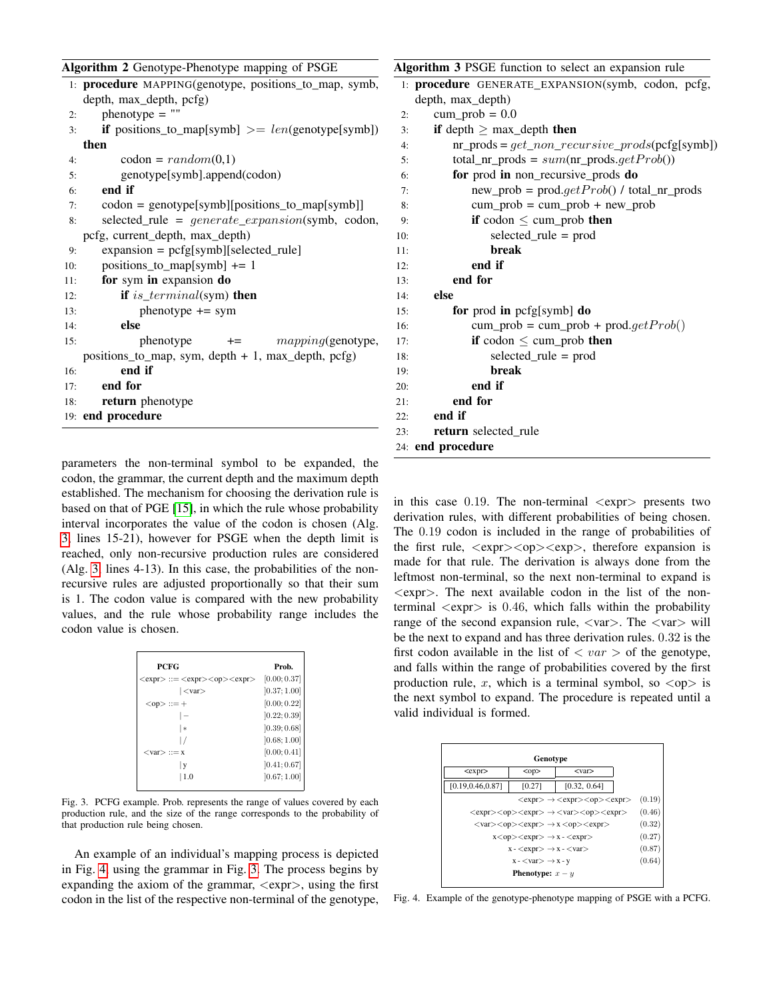<span id="page-3-0"></span>

|  | Algorithm 2 Genotype-Phenotype mapping of PSGE |  |  |
|--|------------------------------------------------|--|--|
|  |                                                |  |  |

|     | 1: <b>procedure</b> MAPPING(genotype, positions_to_map, symb, |
|-----|---------------------------------------------------------------|
|     | depth, max_depth, pcfg)                                       |
| 2:  | $phenotype = ""$                                              |
| 3:  | <b>if</b> positions_to_map[symb] $\geq$ = len(genotype[symb]) |
|     | then                                                          |
| 4:  | $codon = random(0,1)$                                         |
| 5:  | genotype[symb].append(codon)                                  |
| 6:  | end if                                                        |
| 7:  | codon = genotype[symb][positions_to_map[symb]]                |
| 8:  | selected_rule = generate_expansion(symb, codon,               |
|     | pcfg, current_depth, max_depth)                               |
| 9:  | $expansion = pcfg[symb][selected-rule]$                       |
| 10: | positions_to_map[symb] $+= 1$                                 |
| 11: | for sym in expansion do                                       |
| 12: | if is_terminal(sym) then                                      |
| 13: | $phenotype += sym$                                            |
| 14: | else                                                          |
| 15: | $+=$ $mapping(\text{genotype},$<br>phenotype                  |
|     | positions_to_map, sym, depth $+1$ , max_depth, pcfg)          |
| 16: | end if                                                        |
| 17: | end for                                                       |
| 18: | return phenotype                                              |
|     | 19: end procedure                                             |
|     |                                                               |

parameters the non-terminal symbol to be expanded, the codon, the grammar, the current depth and the maximum depth established. The mechanism for choosing the derivation rule is based on that of PGE [\[15\]](#page-7-13), in which the rule whose probability interval incorporates the value of the codon is chosen (Alg. [3,](#page-3-1) lines 15-21), however for PSGE when the depth limit is reached, only non-recursive production rules are considered (Alg. [3,](#page-3-1) lines 4-13). In this case, the probabilities of the nonrecursive rules are adjusted proportionally so that their sum is 1. The codon value is compared with the new probability values, and the rule whose probability range includes the codon value is chosen.

| <b>PCFG</b>                               | Prob.        |
|-------------------------------------------|--------------|
| $<$ expr> ::= $<$ expr> $<$ op> $<$ expr> | [0.00; 0.37] |
| $ <$ var $>$                              | [0.37; 1.00] |
| $<$ op $> ::= +$                          | [0.00; 0.22] |
|                                           | [0.22; 0.39] |
| $\ast$                                    | [0.39; 0.68] |
|                                           | [0.68; 1.00] |
| $<$ var $>$ ::= x                         | [0.00; 0.41] |
| V                                         | [0.41; 0.67] |
| 1.0                                       | [0.67; 1.00] |

<span id="page-3-3"></span>Fig. 3. PCFG example. Prob. represents the range of values covered by each production rule, and the size of the range corresponds to the probability of that production rule being chosen.

An example of an individual's mapping process is depicted in Fig. [4,](#page-3-2) using the grammar in Fig. [3.](#page-3-3) The process begins by expanding the axiom of the grammar,  $\langle \text{expr} \rangle$ , using the first codon in the list of the respective non-terminal of the genotype,

<span id="page-3-1"></span>

| Algorithm 3 PSGE function to select an expansion rule       |
|-------------------------------------------------------------|
| 1: procedure GENERATE_EXPANSION(symb, codon, pcfg,          |
| depth, max_depth)                                           |
| $cum\_prob = 0.0$<br>2:                                     |
| if depth $\geq$ max_depth then<br>3:                        |
| $nr\_prods = get\_non\_recursive\_prod(s(pcfg[symb])$<br>4: |
| total_nr_prods = $sum(nr\_prods.getProb())$<br>5:           |
| for prod in non_recursive_prods do<br>6:                    |
| $new\_prob = prod.getProb() / total_nr\_prods$<br>7:        |
| $cum\_prob = cum\_prob + new\_prob$<br>8:                   |
| if codon $\leq$ cum_prob then<br>9:                         |
| selected_rule = prod<br>10:                                 |
| break<br>11:                                                |
| end if<br>12:                                               |
| end for<br>13:                                              |
| else<br>14:                                                 |
| for prod in pcfg[symb] do<br>15:                            |
| $cum\_prob = cum\_prob + prod.getProb()$<br>16:             |
| if codon $\leq$ cum_prob then<br>17:                        |
| $selected_{rule} = prod$<br>18:                             |
| break<br>19:                                                |
| end if<br>20:                                               |
| end for<br>21:                                              |
| end if<br>22:                                               |
| return selected rule<br>23:                                 |
| 24: end procedure                                           |

in this case  $0.19$ . The non-terminal  $\langle \text{expr} \rangle$  presents two derivation rules, with different probabilities of being chosen. The 0.19 codon is included in the range of probabilities of the first rule,  $\langle \text{expr}\rangle \langle \text{opp}\rangle$ , therefore expansion is made for that rule. The derivation is always done from the leftmost non-terminal, so the next non-terminal to expand is  $\langle \text{expr}\rangle$ . The next available codon in the list of the nonterminal  $\langle \text{expr} \rangle$  is 0.46, which falls within the probability range of the second expansion rule,  $\langle var \rangle$ . The  $\langle var \rangle$  will be the next to expand and has three derivation rules. 0.32 is the first codon available in the list of  $\langle var \rangle$  of the genotype, and falls within the range of probabilities covered by the first production rule, x, which is a terminal symbol, so  $\langle op \rangle$  is the next symbol to expand. The procedure is repeated until a valid individual is formed.

| Genotype                                                                                                                              |                           |              |        |  |
|---------------------------------------------------------------------------------------------------------------------------------------|---------------------------|--------------|--------|--|
| $<$ expr $>$                                                                                                                          | $<$ var $>$<br>$<$ op $>$ |              |        |  |
| [0.19, 0.46, 0.87]                                                                                                                    | [0.27]                    | [0.32, 0.64] |        |  |
| $\langle$ expr $>\rightarrow$ $\langle$ expr $>\langle$ op $>\langle$ expr $>$                                                        |                           |              | (0.19) |  |
| (0.46)<br>$\langle$ expr> $\langle$ op> $\langle$ expr> $\rightarrow$ $\langle$ var> $\langle$ op> $\langle$ expr>                    |                           |              |        |  |
| (0.32)<br>$\langle var \rangle$ $\langle op \rangle$ $\langle exp \rangle$ $\rightarrow$ x $\langle op \rangle$ $\langle exp \rangle$ |                           |              |        |  |
| (0.27)<br>$x <$ op> $<$ expr> $\rightarrow$ x - $<$ expr>                                                                             |                           |              |        |  |
| $x - \langle expr \rangle \rightarrow x - \langle var \rangle$                                                                        |                           |              |        |  |
| $x -  - x - y$                                                                                                                        |                           |              |        |  |
| <b>Phenotype:</b> $x - y$                                                                                                             |                           |              |        |  |
|                                                                                                                                       |                           |              |        |  |

<span id="page-3-2"></span>Fig. 4. Example of the genotype-phenotype mapping of PSGE with a PCFG.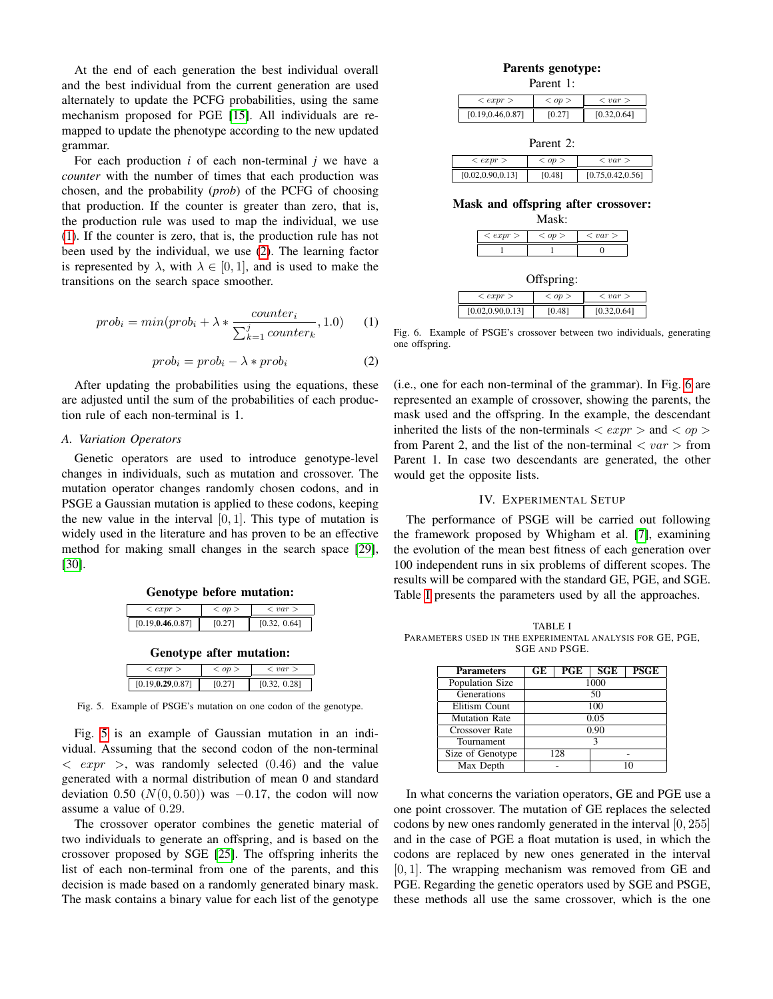At the end of each generation the best individual overall and the best individual from the current generation are used alternately to update the PCFG probabilities, using the same mechanism proposed for PGE [\[15\]](#page-7-13). All individuals are remapped to update the phenotype according to the new updated grammar.

For each production *i* of each non-terminal *j* we have a *counter* with the number of times that each production was chosen, and the probability (*prob*) of the PCFG of choosing that production. If the counter is greater than zero, that is, the production rule was used to map the individual, we use [\(1\)](#page-4-1). If the counter is zero, that is, the production rule has not been used by the individual, we use [\(2\)](#page-4-2). The learning factor is represented by  $\lambda$ , with  $\lambda \in [0, 1]$ , and is used to make the transitions on the search space smoother.

<span id="page-4-1"></span>
$$
prob_i = min(prob_i + \lambda * \frac{counter_i}{\sum_{k=1}^{j}counter_k}, 1.0)
$$
 (1)

<span id="page-4-2"></span>
$$
prob_i = prob_i - \lambda * prob_i \tag{2}
$$

After updating the probabilities using the equations, these are adjusted until the sum of the probabilities of each production rule of each non-terminal is 1.

## <span id="page-4-6"></span>*A. Variation Operators*

Genetic operators are used to introduce genotype-level changes in individuals, such as mutation and crossover. The mutation operator changes randomly chosen codons, and in PSGE a Gaussian mutation is applied to these codons, keeping the new value in the interval  $[0, 1]$ . This type of mutation is widely used in the literature and has proven to be an effective method for making small changes in the search space [\[29\]](#page-8-7), [\[30\]](#page-8-8).

| <expr></expr>      | op > | $\langle var \rangle$ |
|--------------------|------|-----------------------|
| [0.19, 0.46, 0.87] | 0.27 | [0.32, 0.64]          |

Genotype after mutation:

| $\langle expr \rangle$ | $<$ op $>$ | $\langle var \rangle$ |
|------------------------|------------|-----------------------|
| [0.19, 0.29, 0.87]     |            | [0.32, 0.28]          |

<span id="page-4-3"></span>Fig. 5. Example of PSGE's mutation on one codon of the genotype.

Fig. [5](#page-4-3) is an example of Gaussian mutation in an individual. Assuming that the second codon of the non-terminal  $\langle expr \rangle$ , was randomly selected (0.46) and the value generated with a normal distribution of mean 0 and standard deviation 0.50 ( $N(0, 0.50)$ ) was  $-0.17$ , the codon will now assume a value of 0.29.

The crossover operator combines the genetic material of two individuals to generate an offspring, and is based on the crossover proposed by SGE [\[25\]](#page-8-3). The offspring inherits the list of each non-terminal from one of the parents, and this decision is made based on a randomly generated binary mask. The mask contains a binary value for each list of the genotype

| Parents genotype: |
|-------------------|
| Parent 1:         |

| $\langle expr \rangle$ | $<$ op $>$ | $\langle var \rangle$ |
|------------------------|------------|-----------------------|
| [0.19, 0.46, 0.87]     | IO 271     | [0.32, 0.64]          |

| Parent 2:              |            |                       |  |  |
|------------------------|------------|-----------------------|--|--|
| $\langle expr \rangle$ | $<$ op $>$ | $\langle var \rangle$ |  |  |
| [0.02, 0.90, 0.13]     | [0.48]     | [0.75, 0.42, 0.56]    |  |  |

Mask and offspring after crossover:

| Mask:                  |            |                       |  |  |
|------------------------|------------|-----------------------|--|--|
| $\langle expr \rangle$ | $<$ op $>$ | $\langle var \rangle$ |  |  |
|                        |            |                       |  |  |

| Offspring:             |            |                       |  |
|------------------------|------------|-----------------------|--|
| $\langle expr \rangle$ | $<$ op $>$ | $\langle var \rangle$ |  |
| [0.02, 0.90, 0.13]     | [0.48]     | [0.32, 0.64]          |  |

<span id="page-4-4"></span>Fig. 6. Example of PSGE's crossover between two individuals, generating one offspring.

(i.e., one for each non-terminal of the grammar). In Fig. [6](#page-4-4) are represented an example of crossover, showing the parents, the mask used and the offspring. In the example, the descendant inherited the lists of the non-terminals  $\langle exp r \rangle$  and  $\langle op \rangle$ from Parent 2, and the list of the non-terminal  $\langle var \rangle$  from Parent 1. In case two descendants are generated, the other would get the opposite lists.

## IV. EXPERIMENTAL SETUP

<span id="page-4-0"></span>The performance of PSGE will be carried out following the framework proposed by Whigham et al. [\[7\]](#page-7-5), examining the evolution of the mean best fitness of each generation over 100 independent runs in six problems of different scopes. The results will be compared with the standard GE, PGE, and SGE. Table [I](#page-4-5) presents the parameters used by all the approaches.

<span id="page-4-5"></span>TABLE I PARAMETERS USED IN THE EXPERIMENTAL ANALYSIS FOR GE, PGE, SGE AND PSGE.

| <b>Parameters</b>    | GE   | PGE | <b>SGE</b> | <b>PSGE</b> |
|----------------------|------|-----|------------|-------------|
| Population Size      | 1000 |     |            |             |
| Generations          | 50   |     |            |             |
| Elitism Count        | 100  |     |            |             |
| <b>Mutation Rate</b> | 0.05 |     |            |             |
| Crossover Rate       | 0.90 |     |            |             |
| Tournament           | ς    |     |            |             |
| Size of Genotype     | 128  |     |            |             |
| Max Depth            |      |     |            |             |

In what concerns the variation operators, GE and PGE use a one point crossover. The mutation of GE replaces the selected codons by new ones randomly generated in the interval [0, 255] and in the case of PGE a float mutation is used, in which the codons are replaced by new ones generated in the interval  $[0, 1]$ . The wrapping mechanism was removed from GE and PGE. Regarding the genetic operators used by SGE and PSGE, these methods all use the same crossover, which is the one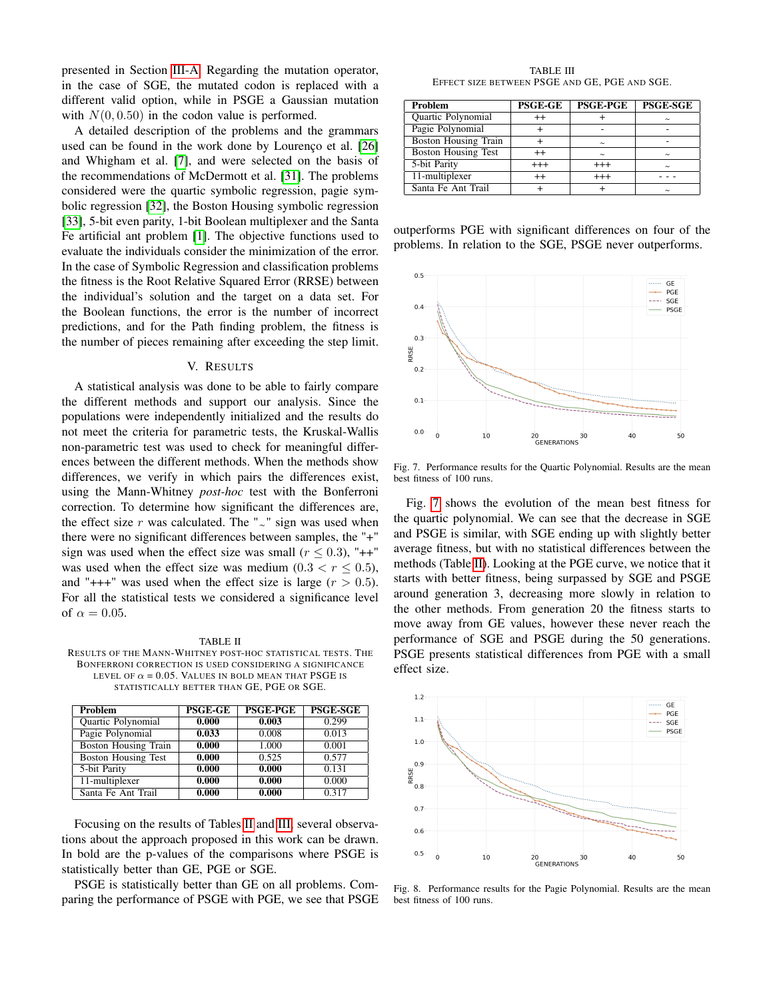presented in Section [III-A.](#page-4-6) Regarding the mutation operator, in the case of SGE, the mutated codon is replaced with a different valid option, while in PSGE a Gaussian mutation with  $N(0, 0.50)$  in the codon value is performed.

A detailed description of the problems and the grammars used can be found in the work done by Lourenço et al. [\[26\]](#page-8-4) and Whigham et al. [\[7\]](#page-7-5), and were selected on the basis of the recommendations of McDermott et al. [\[31\]](#page-8-9). The problems considered were the quartic symbolic regression, pagie symbolic regression [\[32\]](#page-8-10), the Boston Housing symbolic regression [\[33\]](#page-8-11), 5-bit even parity, 1-bit Boolean multiplexer and the Santa Fe artificial ant problem [\[1\]](#page-7-0). The objective functions used to evaluate the individuals consider the minimization of the error. In the case of Symbolic Regression and classification problems the fitness is the Root Relative Squared Error (RRSE) between the individual's solution and the target on a data set. For the Boolean functions, the error is the number of incorrect predictions, and for the Path finding problem, the fitness is the number of pieces remaining after exceeding the step limit.

#### V. RESULTS

<span id="page-5-0"></span>A statistical analysis was done to be able to fairly compare the different methods and support our analysis. Since the populations were independently initialized and the results do not meet the criteria for parametric tests, the Kruskal-Wallis non-parametric test was used to check for meaningful differences between the different methods. When the methods show differences, we verify in which pairs the differences exist, using the Mann-Whitney *post-hoc* test with the Bonferroni correction. To determine how significant the differences are, the effect size r was calculated. The " $\sim$ " sign was used when there were no significant differences between samples, the "+" sign was used when the effect size was small ( $r \leq 0.3$ ), "++" was used when the effect size was medium (0.3  $\lt r \leq 0.5$ ), and "+++" was used when the effect size is large  $(r > 0.5)$ . For all the statistical tests we considered a significance level of  $\alpha = 0.05$ .

#### TABLE II

<span id="page-5-1"></span>RESULTS OF THE MANN-WHITNEY POST-HOC STATISTICAL TESTS. THE BONFERRONI CORRECTION IS USED CONSIDERING A SIGNIFICANCE LEVEL OF  $\alpha = 0.05$ . VALUES IN BOLD MEAN THAT PSGE IS STATISTICALLY BETTER THAN GE, PGE OR SGE.

| Problem                     | <b>PSGE-GE</b> | <b>PSGE-PGE</b> | <b>PSGE-SGE</b> |
|-----------------------------|----------------|-----------------|-----------------|
| Quartic Polynomial          | 0.000          | 0.003           | 0.299           |
| Pagie Polynomial            | 0.033          | 0.008           | 0.013           |
| <b>Boston Housing Train</b> | 0.000          | 1.000           | 0.001           |
| <b>Boston Housing Test</b>  | 0.000          | 0.525           | 0.577           |
| 5-bit Parity                | 0.000          | 0.000           | 0.131           |
| 11-multiplexer              | 0.000          | 0.000           | 0.000           |
| Santa Fe Ant Trail          | 0.000          | 0.000           | 0.317           |

Focusing on the results of Tables [II](#page-5-1) and [III,](#page-5-2) several observations about the approach proposed in this work can be drawn. In bold are the p-values of the comparisons where PSGE is statistically better than GE, PGE or SGE.

PSGE is statistically better than GE on all problems. Comparing the performance of PSGE with PGE, we see that PSGE

TABLE III EFFECT SIZE BETWEEN PSGE AND GE, PGE AND SGE.

<span id="page-5-2"></span>

| Problem                     | <b>PSGE-GE</b> | <b>PSGE-PGE</b> | <b>PSGE-SGE</b> |
|-----------------------------|----------------|-----------------|-----------------|
| Quartic Polynomial          | $^{++}$        |                 | $\sim$          |
| Pagie Polynomial            |                |                 |                 |
| <b>Boston Housing Train</b> |                | $\tilde{}$      |                 |
| <b>Boston Housing Test</b>  | $^{++}$        | $\sim$          | $\sim$          |
| 5-bit Parity                | $^{+++}$       | $^{+++}$        | $\tilde{}$      |
| 11-multiplexer              | $^{++}$        | $+++$           |                 |
| Santa Fe Ant Trail          |                |                 | $\tilde{}$      |

outperforms PGE with significant differences on four of the problems. In relation to the SGE, PSGE never outperforms.



<span id="page-5-3"></span>Fig. 7. Performance results for the Quartic Polynomial. Results are the mean best fitness of 100 runs.

Fig. [7](#page-5-3) shows the evolution of the mean best fitness for the quartic polynomial. We can see that the decrease in SGE and PSGE is similar, with SGE ending up with slightly better average fitness, but with no statistical differences between the methods (Table [II\)](#page-5-1). Looking at the PGE curve, we notice that it starts with better fitness, being surpassed by SGE and PSGE around generation 3, decreasing more slowly in relation to the other methods. From generation 20 the fitness starts to move away from GE values, however these never reach the performance of SGE and PSGE during the 50 generations. PSGE presents statistical differences from PGE with a small effect size.



<span id="page-5-4"></span>Fig. 8. Performance results for the Pagie Polynomial. Results are the mean best fitness of 100 runs.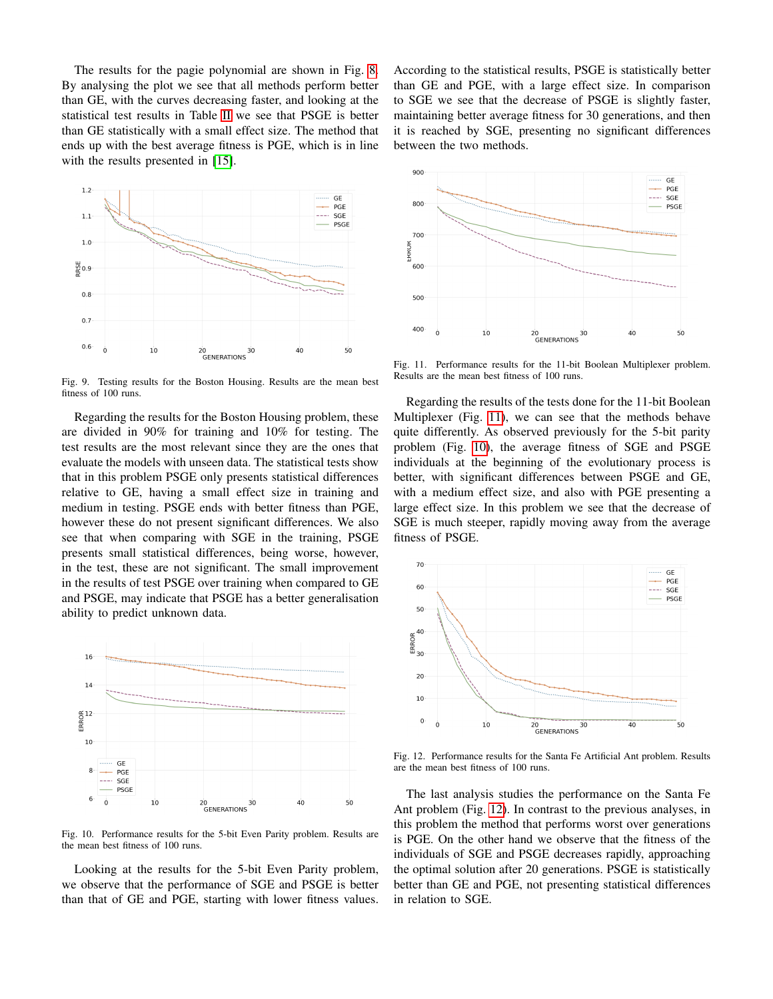The results for the pagie polynomial are shown in Fig. [8.](#page-5-4) By analysing the plot we see that all methods perform better than GE, with the curves decreasing faster, and looking at the statistical test results in Table [II](#page-5-1) we see that PSGE is better than GE statistically with a small effect size. The method that ends up with the best average fitness is PGE, which is in line with the results presented in [\[15\]](#page-7-13).



Fig. 9. Testing results for the Boston Housing. Results are the mean best fitness of 100 runs.

Regarding the results for the Boston Housing problem, these are divided in 90% for training and 10% for testing. The test results are the most relevant since they are the ones that evaluate the models with unseen data. The statistical tests show that in this problem PSGE only presents statistical differences relative to GE, having a small effect size in training and medium in testing. PSGE ends with better fitness than PGE, however these do not present significant differences. We also see that when comparing with SGE in the training, PSGE presents small statistical differences, being worse, however, in the test, these are not significant. The small improvement in the results of test PSGE over training when compared to GE and PSGE, may indicate that PSGE has a better generalisation ability to predict unknown data.



<span id="page-6-1"></span>Fig. 10. Performance results for the 5-bit Even Parity problem. Results are the mean best fitness of 100 runs.

Looking at the results for the 5-bit Even Parity problem, we observe that the performance of SGE and PSGE is better than that of GE and PGE, starting with lower fitness values. According to the statistical results, PSGE is statistically better than GE and PGE, with a large effect size. In comparison to SGE we see that the decrease of PSGE is slightly faster, maintaining better average fitness for 30 generations, and then it is reached by SGE, presenting no significant differences between the two methods.



<span id="page-6-0"></span>Fig. 11. Performance results for the 11-bit Boolean Multiplexer problem. Results are the mean best fitness of 100 runs.

Regarding the results of the tests done for the 11-bit Boolean Multiplexer (Fig. [11\)](#page-6-0), we can see that the methods behave quite differently. As observed previously for the 5-bit parity problem (Fig. [10\)](#page-6-1), the average fitness of SGE and PSGE individuals at the beginning of the evolutionary process is better, with significant differences between PSGE and GE, with a medium effect size, and also with PGE presenting a large effect size. In this problem we see that the decrease of SGE is much steeper, rapidly moving away from the average fitness of PSGE.



<span id="page-6-2"></span>Fig. 12. Performance results for the Santa Fe Artificial Ant problem. Results are the mean best fitness of 100 runs.

The last analysis studies the performance on the Santa Fe Ant problem (Fig. [12\)](#page-6-2). In contrast to the previous analyses, in this problem the method that performs worst over generations is PGE. On the other hand we observe that the fitness of the individuals of SGE and PSGE decreases rapidly, approaching the optimal solution after 20 generations. PSGE is statistically better than GE and PGE, not presenting statistical differences in relation to SGE.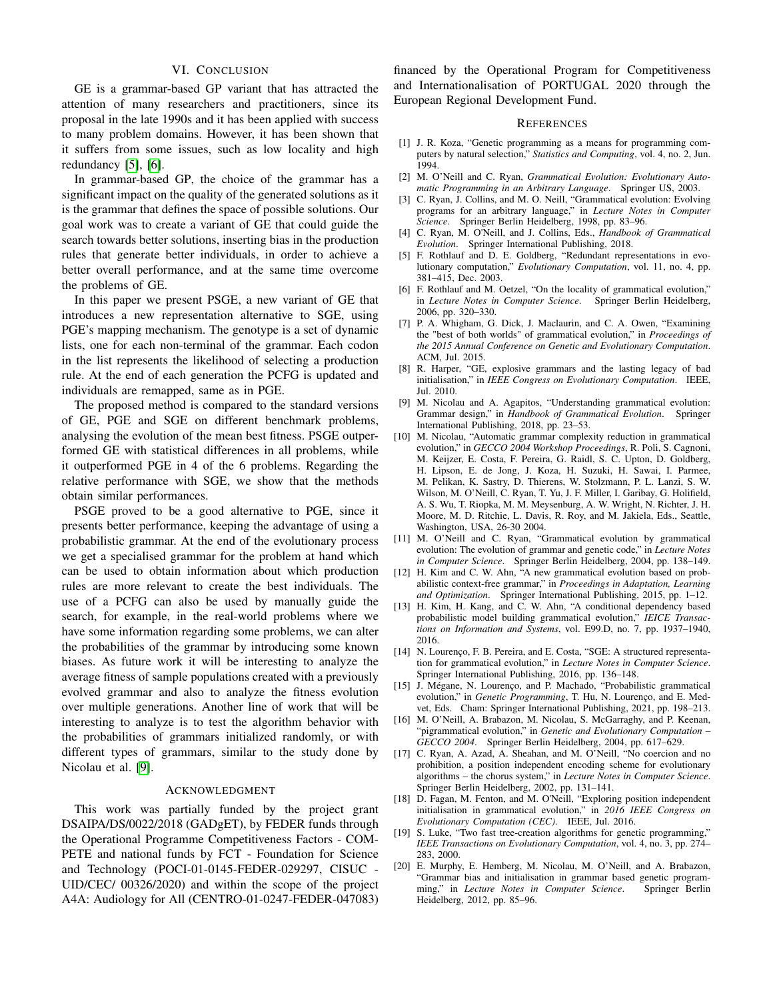## VI. CONCLUSION

<span id="page-7-11"></span>GE is a grammar-based GP variant that has attracted the attention of many researchers and practitioners, since its proposal in the late 1990s and it has been applied with success to many problem domains. However, it has been shown that it suffers from some issues, such as low locality and high redundancy [\[5\]](#page-7-3), [\[6\]](#page-7-4).

In grammar-based GP, the choice of the grammar has a significant impact on the quality of the generated solutions as it is the grammar that defines the space of possible solutions. Our goal work was to create a variant of GE that could guide the search towards better solutions, inserting bias in the production rules that generate better individuals, in order to achieve a better overall performance, and at the same time overcome the problems of GE.

In this paper we present PSGE, a new variant of GE that introduces a new representation alternative to SGE, using PGE's mapping mechanism. The genotype is a set of dynamic lists, one for each non-terminal of the grammar. Each codon in the list represents the likelihood of selecting a production rule. At the end of each generation the PCFG is updated and individuals are remapped, same as in PGE.

The proposed method is compared to the standard versions of GE, PGE and SGE on different benchmark problems, analysing the evolution of the mean best fitness. PSGE outperformed GE with statistical differences in all problems, while it outperformed PGE in 4 of the 6 problems. Regarding the relative performance with SGE, we show that the methods obtain similar performances.

PSGE proved to be a good alternative to PGE, since it presents better performance, keeping the advantage of using a probabilistic grammar. At the end of the evolutionary process we get a specialised grammar for the problem at hand which can be used to obtain information about which production rules are more relevant to create the best individuals. The use of a PCFG can also be used by manually guide the search, for example, in the real-world problems where we have some information regarding some problems, we can alter the probabilities of the grammar by introducing some known biases. As future work it will be interesting to analyze the average fitness of sample populations created with a previously evolved grammar and also to analyze the fitness evolution over multiple generations. Another line of work that will be interesting to analyze is to test the algorithm behavior with the probabilities of grammars initialized randomly, or with different types of grammars, similar to the study done by Nicolau et al. [\[9\]](#page-7-16).

#### ACKNOWLEDGMENT

This work was partially funded by the project grant DSAIPA/DS/0022/2018 (GADgET), by FEDER funds through the Operational Programme Competitiveness Factors - COM-PETE and national funds by FCT - Foundation for Science and Technology (POCI-01-0145-FEDER-029297, CISUC - UID/CEC/ 00326/2020) and within the scope of the project A4A: Audiology for All (CENTRO-01-0247-FEDER-047083)

financed by the Operational Program for Competitiveness and Internationalisation of PORTUGAL 2020 through the European Regional Development Fund.

#### **REFERENCES**

- <span id="page-7-0"></span>[1] J. R. Koza, "Genetic programming as a means for programming computers by natural selection," *Statistics and Computing*, vol. 4, no. 2, Jun. 1994.
- <span id="page-7-1"></span>[2] M. O'Neill and C. Ryan, *Grammatical Evolution: Evolutionary Automatic Programming in an Arbitrary Language*. Springer US, 2003.
- [3] C. Ryan, J. Collins, and M. O. Neill, "Grammatical evolution: Evolving programs for an arbitrary language," in *Lecture Notes in Computer Science*. Springer Berlin Heidelberg, 1998, pp. 83–96.
- <span id="page-7-2"></span>[4] C. Ryan, M. O'Neill, and J. Collins, Eds., *Handbook of Grammatical Evolution*. Springer International Publishing, 2018.
- <span id="page-7-3"></span>[5] F. Rothlauf and D. E. Goldberg, "Redundant representations in evolutionary computation," *Evolutionary Computation*, vol. 11, no. 4, pp. 381–415, Dec. 2003.
- <span id="page-7-4"></span>[6] F. Rothlauf and M. Oetzel, "On the locality of grammatical evolution," in *Lecture Notes in Computer Science*. Springer Berlin Heidelberg, 2006, pp. 320–330.
- <span id="page-7-5"></span>[7] P. A. Whigham, G. Dick, J. Maclaurin, and C. A. Owen, "Examining the "best of both worlds" of grammatical evolution," in *Proceedings of the 2015 Annual Conference on Genetic and Evolutionary Computation*. ACM, Jul. 2015.
- <span id="page-7-6"></span>[8] R. Harper, "GE, explosive grammars and the lasting legacy of bad initialisation," in *IEEE Congress on Evolutionary Computation*. IEEE, Jul. 2010.
- <span id="page-7-16"></span>[9] M. Nicolau and A. Agapitos, "Understanding grammatical evolution: Grammar design," in *Handbook of Grammatical Evolution*. Springer International Publishing, 2018, pp. 23–53.
- <span id="page-7-17"></span>[10] M. Nicolau, "Automatic grammar complexity reduction in grammatical evolution," in *GECCO 2004 Workshop Proceedings*, R. Poli, S. Cagnoni, M. Keijzer, E. Costa, F. Pereira, G. Raidl, S. C. Upton, D. Goldberg, H. Lipson, E. de Jong, J. Koza, H. Suzuki, H. Sawai, I. Parmee, M. Pelikan, K. Sastry, D. Thierens, W. Stolzmann, P. L. Lanzi, S. W. Wilson, M. O'Neill, C. Ryan, T. Yu, J. F. Miller, I. Garibay, G. Holifield, A. S. Wu, T. Riopka, M. M. Meysenburg, A. W. Wright, N. Richter, J. H. Moore, M. D. Ritchie, L. Davis, R. Roy, and M. Jakiela, Eds., Seattle, Washington, USA, 26-30 2004.
- <span id="page-7-7"></span>[11] M. O'Neill and C. Ryan, "Grammatical evolution by grammatical evolution: The evolution of grammar and genetic code," in *Lecture Notes in Computer Science*. Springer Berlin Heidelberg, 2004, pp. 138–149.
- <span id="page-7-8"></span>[12] H. Kim and C. W. Ahn, "A new grammatical evolution based on probabilistic context-free grammar," in *Proceedings in Adaptation, Learning and Optimization*. Springer International Publishing, 2015, pp. 1–12.
- <span id="page-7-12"></span>[13] H. Kim, H. Kang, and C. W. Ahn, "A conditional dependency based probabilistic model building grammatical evolution," *IEICE Transactions on Information and Systems*, vol. E99.D, no. 7, pp. 1937–1940, 2016.
- <span id="page-7-14"></span>[14] N. Lourenço, F. B. Pereira, and E. Costa, "SGE: A structured representation for grammatical evolution," in *Lecture Notes in Computer Science*. Springer International Publishing, 2016, pp. 136–148.
- <span id="page-7-13"></span>[15] J. Mégane, N. Lourenço, and P. Machado, "Probabilistic grammatical evolution," in *Genetic Programming*, T. Hu, N. Lourenço, and E. Medvet, Eds. Cham: Springer International Publishing, 2021, pp. 198–213.
- <span id="page-7-15"></span>[16] M. O'Neill, A. Brabazon, M. Nicolau, S. McGarraghy, and P. Keenan, "pigrammatical evolution," in *Genetic and Evolutionary Computation – GECCO 2004*. Springer Berlin Heidelberg, 2004, pp. 617–629.
- <span id="page-7-9"></span>[17] C. Ryan, A. Azad, A. Sheahan, and M. O'Neill, "No coercion and no prohibition, a position independent encoding scheme for evolutionary algorithms – the chorus system," in *Lecture Notes in Computer Science*. Springer Berlin Heidelberg, 2002, pp. 131–141.
- <span id="page-7-10"></span>[18] D. Fagan, M. Fenton, and M. O'Neill, "Exploring position independent initialisation in grammatical evolution," in *2016 IEEE Congress on Evolutionary Computation (CEC)*. IEEE, Jul. 2016.
- [19] S. Luke, "Two fast tree-creation algorithms for genetic programming," *IEEE Transactions on Evolutionary Computation*, vol. 4, no. 3, pp. 274– 283, 2000.
- [20] E. Murphy, E. Hemberg, M. Nicolau, M. O'Neill, and A. Brabazon, "Grammar bias and initialisation in grammar based genetic programming," in *Lecture Notes in Computer Science*. Springer Berlin Heidelberg, 2012, pp. 85–96.